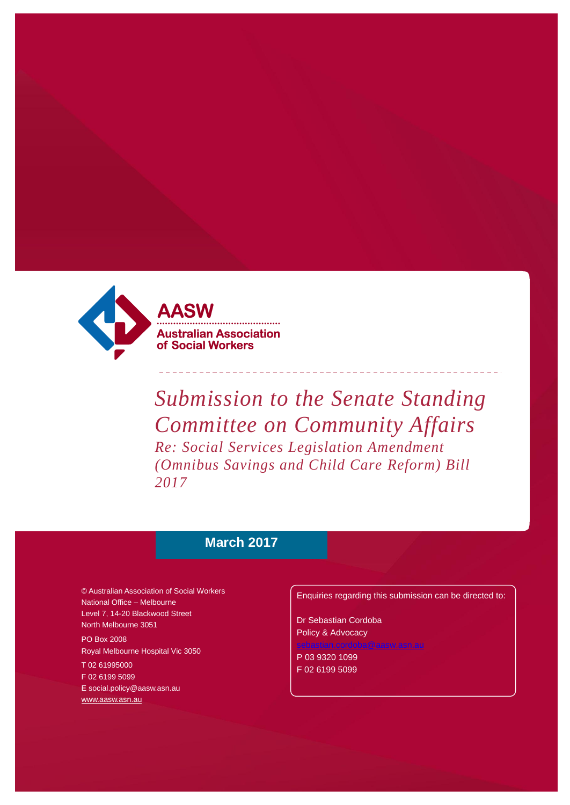

*Submission to the Senate Standing Committee on Community Affairs Re: Social Services Legislation Amendment (Omnibus Savings and Child Care Reform) Bill 2017*

# **March 2017**

© Australian Association of Social Workers National Office – Melbourne Level 7, 14-20 Blackwood Street North Melbourne 3051

PO Box 2008 Royal Melbourne Hospital Vic 3050

T 02 61995000 F 02 6199 5099 [E social.policy@aasw.asn.au](mailto:advocacy@aasw.asn.au) [www.aasw.asn.au](http://www.aasw.asn.au/)

Enquiries regarding this submission can be directed to:

Dr Sebastian Cordoba Policy & Advocacy

P 03 9320 1099 F 02 6199 5099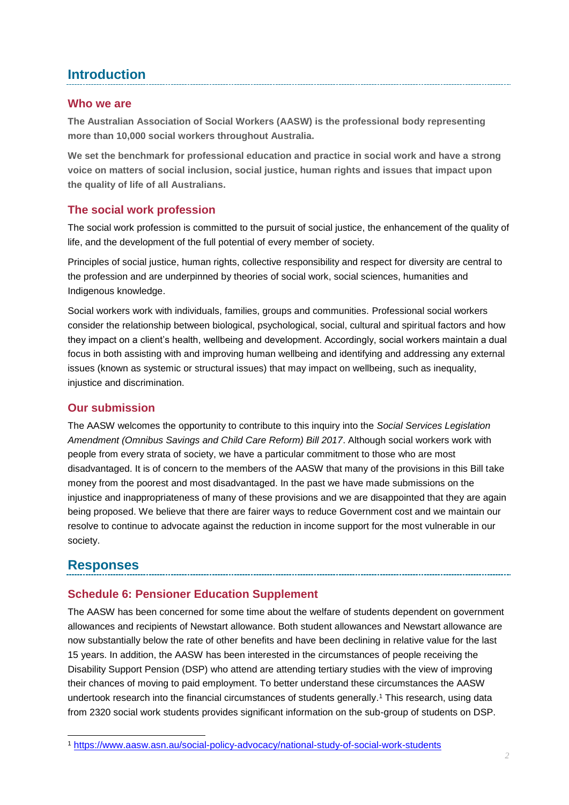# **Introduction**

#### **Who we are**

**The Australian Association of Social Workers (AASW) is the professional body representing more than 10,000 social workers throughout Australia.** 

**We set the benchmark for professional education and practice in social work and have a strong voice on matters of social inclusion, social justice, human rights and issues that impact upon the quality of life of all Australians.**

## **The social work profession**

The social work profession is committed to the pursuit of social justice, the enhancement of the quality of life, and the development of the full potential of every member of society.

Principles of social justice, human rights, collective responsibility and respect for diversity are central to the profession and are underpinned by theories of social work, social sciences, humanities and Indigenous knowledge.

Social workers work with individuals, families, groups and communities. Professional social workers consider the relationship between biological, psychological, social, cultural and spiritual factors and how they impact on a client's health, wellbeing and development. Accordingly, social workers maintain a dual focus in both assisting with and improving human wellbeing and identifying and addressing any external issues (known as systemic or structural issues) that may impact on wellbeing, such as inequality, injustice and discrimination.

## **Our submission**

The AASW welcomes the opportunity to contribute to this inquiry into the *Social Services Legislation Amendment (Omnibus Savings and Child Care Reform) Bill 2017*. Although social workers work with people from every strata of society, we have a particular commitment to those who are most disadvantaged. It is of concern to the members of the AASW that many of the provisions in this Bill take money from the poorest and most disadvantaged. In the past we have made submissions on the injustice and inappropriateness of many of these provisions and we are disappointed that they are again being proposed. We believe that there are fairer ways to reduce Government cost and we maintain our resolve to continue to advocate against the reduction in income support for the most vulnerable in our society.

# **Responses**

## **Schedule 6: Pensioner Education Supplement**

The AASW has been concerned for some time about the welfare of students dependent on government allowances and recipients of Newstart allowance. Both student allowances and Newstart allowance are now substantially below the rate of other benefits and have been declining in relative value for the last 15 years. In addition, the AASW has been interested in the circumstances of people receiving the Disability Support Pension (DSP) who attend are attending tertiary studies with the view of improving their chances of moving to paid employment. To better understand these circumstances the AASW undertook research into the financial circumstances of students generally. <sup>1</sup> This research, using data from 2320 social work students provides significant information on the sub-group of students on DSP.

l <sup>1</sup> <https://www.aasw.asn.au/social-policy-advocacy/national-study-of-social-work-students>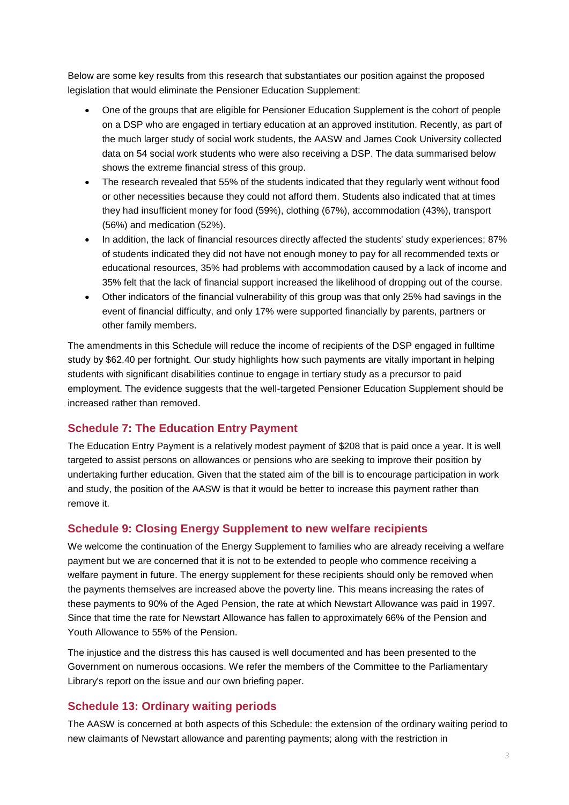Below are some key results from this research that substantiates our position against the proposed legislation that would eliminate the Pensioner Education Supplement:

- One of the groups that are eligible for Pensioner Education Supplement is the cohort of people on a DSP who are engaged in tertiary education at an approved institution. Recently, as part of the much larger study of social work students, the AASW and James Cook University collected data on 54 social work students who were also receiving a DSP. The data summarised below shows the extreme financial stress of this group.
- The research revealed that 55% of the students indicated that they regularly went without food or other necessities because they could not afford them. Students also indicated that at times they had insufficient money for food (59%), clothing (67%), accommodation (43%), transport (56%) and medication (52%).
- In addition, the lack of financial resources directly affected the students' study experiences; 87% of students indicated they did not have not enough money to pay for all recommended texts or educational resources, 35% had problems with accommodation caused by a lack of income and 35% felt that the lack of financial support increased the likelihood of dropping out of the course.
- Other indicators of the financial vulnerability of this group was that only 25% had savings in the event of financial difficulty, and only 17% were supported financially by parents, partners or other family members.

The amendments in this Schedule will reduce the income of recipients of the DSP engaged in fulltime study by \$62.40 per fortnight. Our study highlights how such payments are vitally important in helping students with significant disabilities continue to engage in tertiary study as a precursor to paid employment. The evidence suggests that the well-targeted Pensioner Education Supplement should be increased rather than removed.

#### **Schedule 7: The Education Entry Payment**

The Education Entry Payment is a relatively modest payment of \$208 that is paid once a year. It is well targeted to assist persons on allowances or pensions who are seeking to improve their position by undertaking further education. Given that the stated aim of the bill is to encourage participation in work and study, the position of the AASW is that it would be better to increase this payment rather than remove it.

#### **Schedule 9: Closing Energy Supplement to new welfare recipients**

We welcome the continuation of the Energy Supplement to families who are already receiving a welfare payment but we are concerned that it is not to be extended to people who commence receiving a welfare payment in future. The energy supplement for these recipients should only be removed when the payments themselves are increased above the poverty line. This means increasing the rates of these payments to 90% of the Aged Pension, the rate at which Newstart Allowance was paid in 1997. Since that time the rate for Newstart Allowance has fallen to approximately 66% of the Pension and Youth Allowance to 55% of the Pension.

The injustice and the distress this has caused is well documented and has been presented to the Government on numerous occasions. We refer the members of the Committee to the Parliamentary Library's report on the issue and our own briefing paper.

#### **Schedule 13: Ordinary waiting periods**

The AASW is concerned at both aspects of this Schedule: the extension of the ordinary waiting period to new claimants of Newstart allowance and parenting payments; along with the restriction in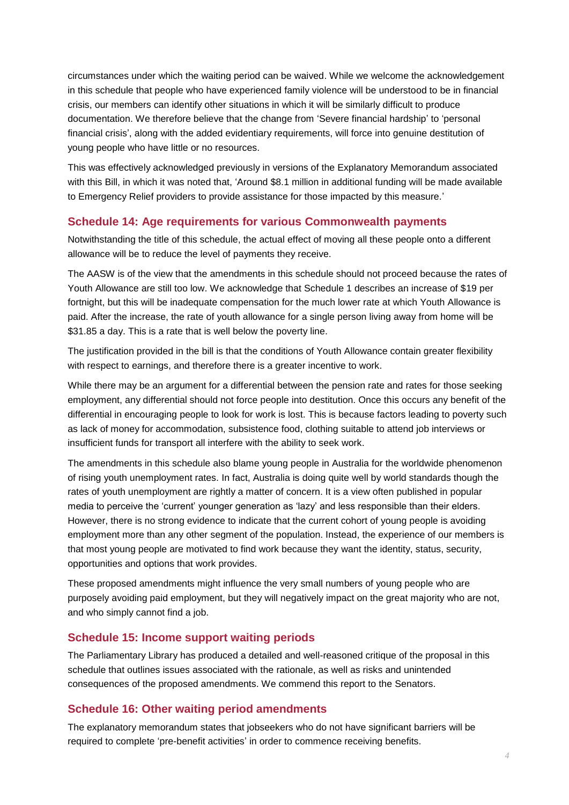circumstances under which the waiting period can be waived. While we welcome the acknowledgement in this schedule that people who have experienced family violence will be understood to be in financial crisis, our members can identify other situations in which it will be similarly difficult to produce documentation. We therefore believe that the change from 'Severe financial hardship' to 'personal financial crisis', along with the added evidentiary requirements, will force into genuine destitution of young people who have little or no resources.

This was effectively acknowledged previously in versions of the Explanatory Memorandum associated with this Bill, in which it was noted that, 'Around \$8.1 million in additional funding will be made available to Emergency Relief providers to provide assistance for those impacted by this measure.'

#### **Schedule 14: Age requirements for various Commonwealth payments**

Notwithstanding the title of this schedule, the actual effect of moving all these people onto a different allowance will be to reduce the level of payments they receive.

The AASW is of the view that the amendments in this schedule should not proceed because the rates of Youth Allowance are still too low. We acknowledge that Schedule 1 describes an increase of \$19 per fortnight, but this will be inadequate compensation for the much lower rate at which Youth Allowance is paid. After the increase, the rate of youth allowance for a single person living away from home will be \$31.85 a day. This is a rate that is well below the poverty line.

The justification provided in the bill is that the conditions of Youth Allowance contain greater flexibility with respect to earnings, and therefore there is a greater incentive to work.

While there may be an argument for a differential between the pension rate and rates for those seeking employment, any differential should not force people into destitution. Once this occurs any benefit of the differential in encouraging people to look for work is lost. This is because factors leading to poverty such as lack of money for accommodation, subsistence food, clothing suitable to attend job interviews or insufficient funds for transport all interfere with the ability to seek work.

The amendments in this schedule also blame young people in Australia for the worldwide phenomenon of rising youth unemployment rates. In fact, Australia is doing quite well by world standards though the rates of youth unemployment are rightly a matter of concern. It is a view often published in popular media to perceive the 'current' younger generation as 'lazy' and less responsible than their elders. However, there is no strong evidence to indicate that the current cohort of young people is avoiding employment more than any other segment of the population. Instead, the experience of our members is that most young people are motivated to find work because they want the identity, status, security, opportunities and options that work provides.

These proposed amendments might influence the very small numbers of young people who are purposely avoiding paid employment, but they will negatively impact on the great majority who are not, and who simply cannot find a job.

#### **Schedule 15: Income support waiting periods**

The Parliamentary Library has produced a detailed and well-reasoned critique of the proposal in this schedule that outlines issues associated with the rationale, as well as risks and unintended consequences of the proposed amendments. We commend this report to the Senators.

#### **Schedule 16: Other waiting period amendments**

The explanatory memorandum states that jobseekers who do not have significant barriers will be required to complete 'pre-benefit activities' in order to commence receiving benefits.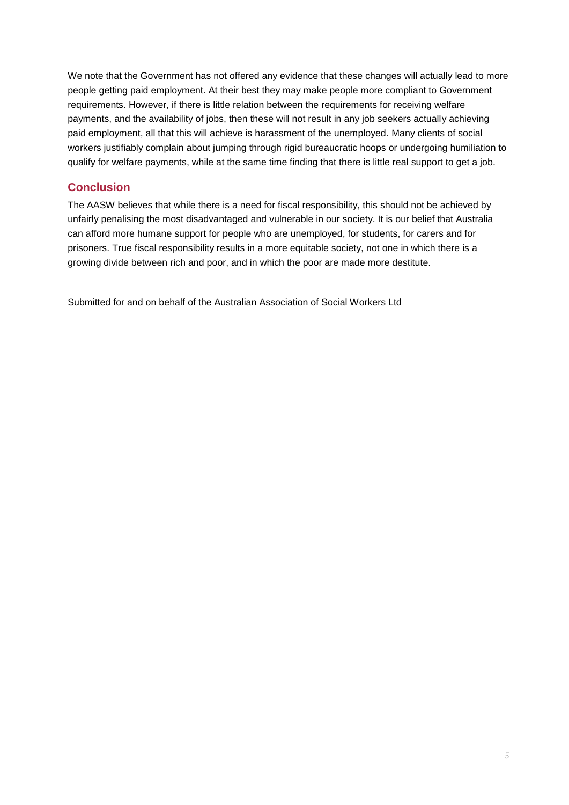We note that the Government has not offered any evidence that these changes will actually lead to more people getting paid employment. At their best they may make people more compliant to Government requirements. However, if there is little relation between the requirements for receiving welfare payments, and the availability of jobs, then these will not result in any job seekers actually achieving paid employment, all that this will achieve is harassment of the unemployed. Many clients of social workers justifiably complain about jumping through rigid bureaucratic hoops or undergoing humiliation to qualify for welfare payments, while at the same time finding that there is little real support to get a job.

## **Conclusion**

The AASW believes that while there is a need for fiscal responsibility, this should not be achieved by unfairly penalising the most disadvantaged and vulnerable in our society. It is our belief that Australia can afford more humane support for people who are unemployed, for students, for carers and for prisoners. True fiscal responsibility results in a more equitable society, not one in which there is a growing divide between rich and poor, and in which the poor are made more destitute.

Submitted for and on behalf of the Australian Association of Social Workers Ltd